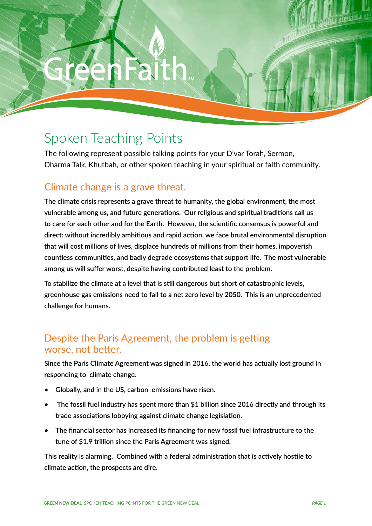GREEN NEW DEAL SPOKEN TEACHING POINTS FOR THE GREEN NEW DEAL

# Spoken Teaching Points

The following represent possible talking points for your D'var Torah, Sermon, Dharma Talk, Khutbah, or other spoken teaching in your spiritual or faith community.

# Climate change is a grave threat.

**The climate crisis represents a grave threat to humanity, the global environment, the most vulnerable among us, and future generations. Our religious and spiritual traditions call us to care for each other and for the Earth. However, the scientific consensus is powerful and direct: without incredibly ambitious and rapid action, we face brutal environmental disruption that will cost millions of lives, displace hundreds of millions from their homes, impoverish countless communities, and badly degrade ecosystems that support life. The most vulnerable among us will suffer worst, despite having contributed least to the problem.** 

**To stabilize the climate at a level that is still dangerous but short of catastrophic levels, greenhouse gas emissions need to fall to a net zero level by 2050. This is an unprecedented challenge for humans.**

### Despite the Paris Agreement, the problem is getting worse, not better.

**Since the Paris Climate Agreement was signed in 2016, the world has actually lost ground in responding to climate change.** 

- **• Globally, and in the US, carbon emissions have risen.**
- **• The fossil fuel industry has spent more than \$1 billion since 2016 directly and through its trade associations lobbying against climate change legislation.**
- **• The financial sector has increased its financing for new fossil fuel infrastructure to the tune of \$1.9 trillion since the Paris Agreement was signed.**

**This reality is alarming. Combined with a federal administration that is actively hostile to climate action, the prospects are dire.**